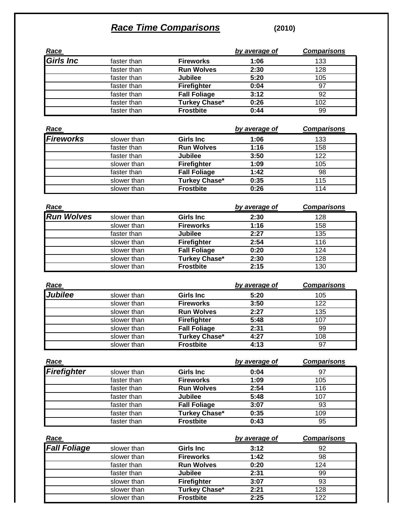## *Race Time Comparisons* **(2010)**

| Race                |                            |                                      | by average of | <b>Comparisons</b> |
|---------------------|----------------------------|--------------------------------------|---------------|--------------------|
| <b>Girls Inc</b>    | faster than                | <b>Fireworks</b>                     | 1:06          | 133                |
|                     | faster than                | <b>Run Wolves</b>                    | 2:30          | 128                |
|                     | faster than                | <b>Jubilee</b>                       | 5:20          | 105                |
|                     | faster than                | Firefighter                          | 0:04          | 97                 |
|                     | faster than                | <b>Fall Foliage</b>                  | 3:12          | 92                 |
|                     | faster than                | <b>Turkey Chase*</b>                 | 0:26          | 102                |
|                     | faster than                | <b>Frostbite</b>                     | 0:44          | 99                 |
| Race                |                            |                                      | by average of | <b>Comparisons</b> |
| <b>Fireworks</b>    | slower than                | <b>Girls Inc</b>                     | 1:06          | 133                |
|                     | faster than                | <b>Run Wolves</b>                    | 1:16          | 158                |
|                     | faster than                | <b>Jubilee</b>                       | 3:50          | $\overline{122}$   |
|                     | slower than                | Firefighter                          | 1:09          | 105                |
|                     | faster than                | <b>Fall Foliage</b>                  | 1:42          | 98                 |
|                     | slower than                | <b>Turkey Chase*</b>                 | 0:35          | 115                |
|                     | slower than                | <b>Frostbite</b>                     | 0:26          | 114                |
| Race                |                            |                                      | by average of | <b>Comparisons</b> |
| <b>Run Wolves</b>   |                            |                                      |               |                    |
|                     | slower than<br>slower than | <b>Girls Inc</b><br><b>Fireworks</b> | 2:30<br>1:16  | 128<br>158         |
|                     | faster than                | <b>Jubilee</b>                       | 2:27          | 135                |
|                     | slower than                | Firefighter                          | 2:54          | 116                |
|                     | slower than                | <b>Fall Foliage</b>                  | 0:20          | 124                |
|                     | slower than                | <b>Turkey Chase*</b>                 | 2:30          | $\overline{128}$   |
|                     | slower than                | <b>Frostbite</b>                     | 2:15          | 130                |
| Race                |                            |                                      | by average of | <b>Comparisons</b> |
| Jubilee             | slower than                | <b>Girls Inc</b>                     | 5:20          | 105                |
|                     | slower than                | <b>Fireworks</b>                     | 3:50          | $\overline{122}$   |
|                     | slower than                | <b>Run Wolves</b>                    | 2:27          | 135                |
|                     | slower than                | Firefighter                          | 5:48          | 107                |
|                     | slower than                | <b>Fall Foliage</b>                  | 2:31          | 99                 |
|                     | slower than                | Turkey Chase*                        | 4:27          | 108                |
|                     | slower than                | <b>Frostbite</b>                     | 4:13          | 97                 |
| <u>Race</u>         |                            |                                      | by average of | <b>Comparisons</b> |
| <b>Firefighter</b>  | slower than                | <b>Girls Inc</b>                     | 0:04          | 97                 |
|                     | faster than                | <b>Fireworks</b>                     | 1:09          | 105                |
|                     | faster than                | <b>Run Wolves</b>                    | 2:54          | 116                |
|                     | faster than                | <b>Jubilee</b>                       | 5:48          | 107                |
|                     | faster than                | <b>Fall Foliage</b>                  | 3:07          | 93                 |
|                     | faster than                | <b>Turkey Chase*</b>                 | 0:35          | 109                |
|                     | faster than                | <b>Frostbite</b>                     | 0:43          | 95                 |
| Race                |                            |                                      | by average of | <b>Comparisons</b> |
| <b>Fall Foliage</b> | slower than                | <b>Girls Inc</b>                     | 3:12          | 92                 |
|                     | slower than                | <b>Fireworks</b>                     | 1:42          | 98                 |
|                     | faster than                | <b>Run Wolves</b>                    | 0:20          | 124                |
|                     | faster than                | <b>Jubilee</b>                       | 2:31          | 99                 |
|                     | slower than                | Firefighter                          | 3:07          | 93                 |
|                     |                            | <b>Turkey Chase*</b>                 | 2:21          | 128                |

slower than **Frostbite 2:25** 122